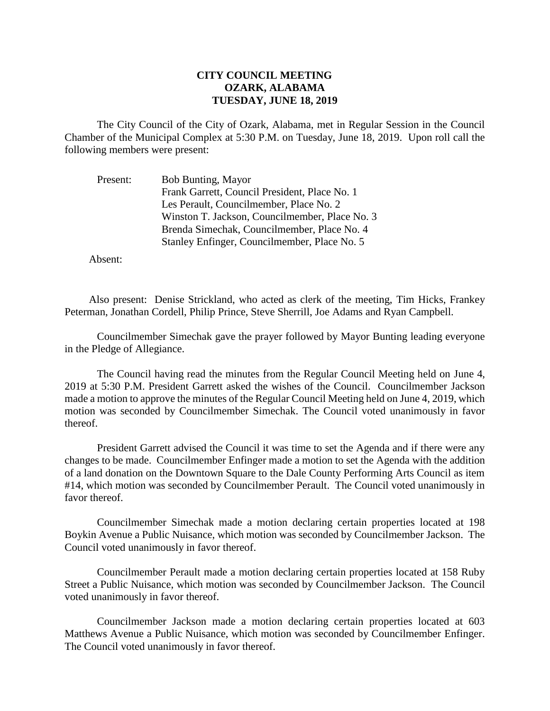## **CITY COUNCIL MEETING OZARK, ALABAMA TUESDAY, JUNE 18, 2019**

The City Council of the City of Ozark, Alabama, met in Regular Session in the Council Chamber of the Municipal Complex at 5:30 P.M. on Tuesday, June 18, 2019. Upon roll call the following members were present:

| Present: | <b>Bob Bunting, Mayor</b>                      |
|----------|------------------------------------------------|
|          | Frank Garrett, Council President, Place No. 1  |
|          | Les Perault, Councilmember, Place No. 2        |
|          | Winston T. Jackson, Councilmember, Place No. 3 |
|          | Brenda Simechak, Councilmember, Place No. 4    |
|          | Stanley Enfinger, Councilmember, Place No. 5   |

Absent:

Also present: Denise Strickland, who acted as clerk of the meeting, Tim Hicks, Frankey Peterman, Jonathan Cordell, Philip Prince, Steve Sherrill, Joe Adams and Ryan Campbell.

Councilmember Simechak gave the prayer followed by Mayor Bunting leading everyone in the Pledge of Allegiance.

The Council having read the minutes from the Regular Council Meeting held on June 4, 2019 at 5:30 P.M. President Garrett asked the wishes of the Council. Councilmember Jackson made a motion to approve the minutes of the Regular Council Meeting held on June 4, 2019, which motion was seconded by Councilmember Simechak. The Council voted unanimously in favor thereof.

President Garrett advised the Council it was time to set the Agenda and if there were any changes to be made. Councilmember Enfinger made a motion to set the Agenda with the addition of a land donation on the Downtown Square to the Dale County Performing Arts Council as item #14, which motion was seconded by Councilmember Perault. The Council voted unanimously in favor thereof.

Councilmember Simechak made a motion declaring certain properties located at 198 Boykin Avenue a Public Nuisance, which motion was seconded by Councilmember Jackson. The Council voted unanimously in favor thereof.

Councilmember Perault made a motion declaring certain properties located at 158 Ruby Street a Public Nuisance, which motion was seconded by Councilmember Jackson. The Council voted unanimously in favor thereof.

Councilmember Jackson made a motion declaring certain properties located at 603 Matthews Avenue a Public Nuisance, which motion was seconded by Councilmember Enfinger. The Council voted unanimously in favor thereof.